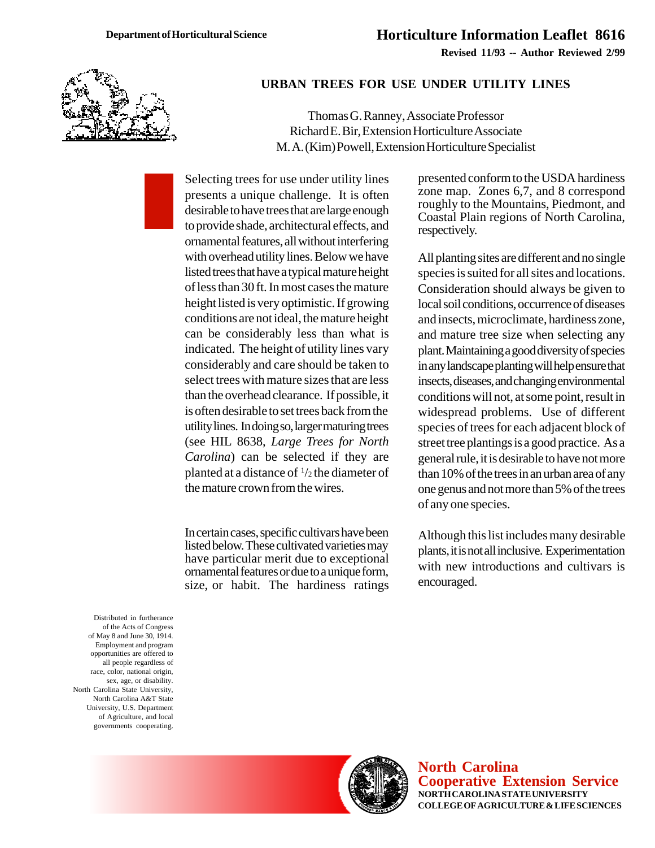

## **URBAN TREES FOR USE UNDER UTILITY LINES**

Thomas G. Ranney, Associate Professor Richard E. Bir, Extension Horticulture Associate M. A. (Kim) Powell, Extension Horticulture Specialist

Selecting trees for use under utility lines presents a unique challenge. It is often desirable to have trees that are large enough to provide shade, architectural effects, and ornamental features, all without interfering with overhead utility lines. Below we have listed trees that have a typical mature height of less than 30 ft. In most cases the mature height listed is very optimistic. If growing conditions are not ideal, the mature height can be considerably less than what is indicated. The height of utility lines vary considerably and care should be taken to select trees with mature sizes that are less than the overhead clearance. If possible, it is often desirable to set trees back from the utility lines. In doing so, larger maturing trees (see HIL 8638, *Large Trees for North Carolina*) can be selected if they are planted at a distance of 1 /2 the diameter of the mature crown from the wires.

In certain cases, specific cultivars have been listed below. These cultivated varieties may have particular merit due to exceptional ornamental features or due to a unique form, size, or habit. The hardiness ratings presented conform to the USDA hardiness zone map. Zones 6,7, and 8 correspond roughly to the Mountains, Piedmont, and Coastal Plain regions of North Carolina, respectively.

All planting sites are different and no single species is suited for all sites and locations. Consideration should always be given to local soil conditions, occurrence of diseases and insects, microclimate, hardiness zone, and mature tree size when selecting any plant. Maintaining a good diversity of species in any landscape planting will help ensure that insects, diseases, and changing environmental conditions will not, at some point, result in widespread problems. Use of different species of trees for each adjacent block of street tree plantings is a good practice. As a general rule, it is desirable to have not more than 10% of the trees in an urban area of any one genus and not more than 5% of the trees of any one species.

Although this list includes many desirable plants, it is not all inclusive. Experimentation with new introductions and cultivars is encouraged.

Distributed in furtherance of the Acts of Congress of May 8 and June 30, 1914. Employment and program opportunities are offered to all people regardless of race, color, national origin, sex, age, or disability. North Carolina State University, North Carolina A&T State University, U.S. Department of Agriculture, and local governments cooperating.



**North Carolina Cooperative Extension Service NORTH CAROLINA STATE UNIVERSITY COLLEGE OF AGRICULTURE & LIFE SCIENCES**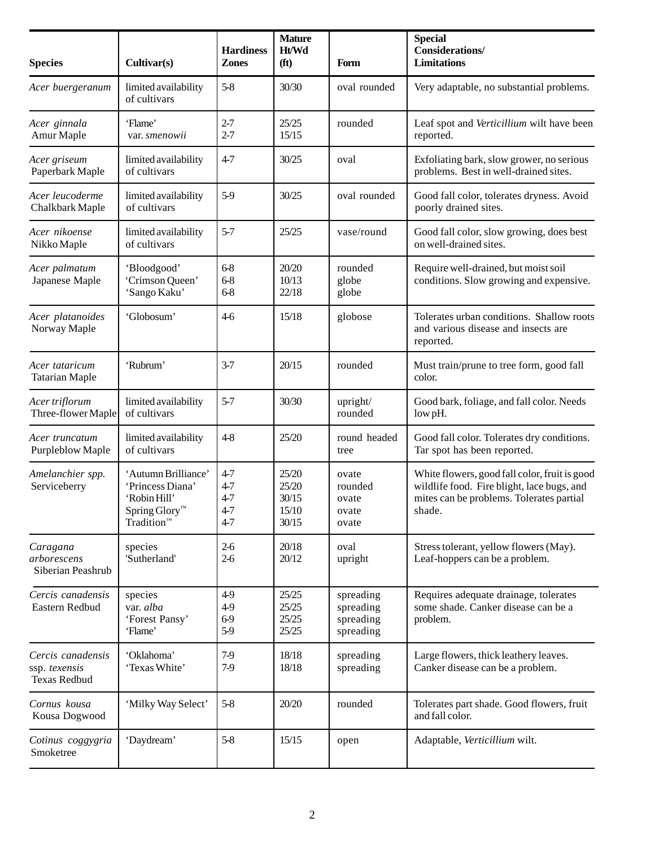| <b>Species</b>                                     | Cultivar(s)                                                                                                   | <b>Hardiness</b><br><b>Zones</b>                | <b>Mature</b><br>Ht/Wd<br>(f <sup>t</sup> ) | Form                                             | <b>Special</b><br><b>Considerations/</b><br><b>Limitations</b>                                                                                    |
|----------------------------------------------------|---------------------------------------------------------------------------------------------------------------|-------------------------------------------------|---------------------------------------------|--------------------------------------------------|---------------------------------------------------------------------------------------------------------------------------------------------------|
| Acer buergeranum                                   | limited availability<br>of cultivars                                                                          | $5 - 8$                                         | 30/30                                       | oval rounded                                     | Very adaptable, no substantial problems.                                                                                                          |
| Acer ginnala<br>Amur Maple                         | 'Flame'<br>var. smenowii                                                                                      | $2 - 7$<br>$2 - 7$                              | 25/25<br>15/15                              | rounded                                          | Leaf spot and Verticillium wilt have been<br>reported.                                                                                            |
| Acer griseum<br>Paperbark Maple                    | limited availability<br>of cultivars                                                                          | $4 - 7$                                         | 30/25                                       | oval                                             | Exfoliating bark, slow grower, no serious<br>problems. Best in well-drained sites.                                                                |
| Acer leucoderme<br>Chalkbark Maple                 | limited availability<br>of cultivars                                                                          | $5-9$                                           | 30/25                                       | oval rounded                                     | Good fall color, tolerates dryness. Avoid<br>poorly drained sites.                                                                                |
| Acer nikoense<br>Nikko Maple                       | limited availability<br>of cultivars                                                                          | $5 - 7$                                         | 25/25                                       | vase/round                                       | Good fall color, slow growing, does best<br>on well-drained sites.                                                                                |
| Acer palmatum<br>Japanese Maple                    | 'Bloodgood'<br>'Crimson Queen'<br>'Sango Kaku'                                                                | $6 - 8$<br>$6 - 8$<br>$6 - 8$                   | 20/20<br>10/13<br>22/18                     | rounded<br>globe<br>globe                        | Require well-drained, but moist soil<br>conditions. Slow growing and expensive.                                                                   |
| Acer platanoides<br>Norway Maple                   | 'Globosum'                                                                                                    | $4-6$                                           | 15/18                                       | globose                                          | Tolerates urban conditions. Shallow roots<br>and various disease and insects are<br>reported.                                                     |
| Acer tataricum<br><b>Tatarian Maple</b>            | 'Rubrum'                                                                                                      | $3 - 7$                                         | 20/15                                       | rounded                                          | Must train/prune to tree form, good fall<br>color.                                                                                                |
| Acer triflorum<br>Three-flower Maple               | limited availability<br>of cultivars                                                                          | $5 - 7$                                         | 30/30                                       | upright/<br>rounded                              | Good bark, foliage, and fall color. Needs<br>low pH.                                                                                              |
| Acer truncatum<br>Purpleblow Maple                 | limited availability<br>of cultivars                                                                          | $4-8$                                           | 25/20                                       | round headed<br>tree                             | Good fall color. Tolerates dry conditions.<br>Tar spot has been reported.                                                                         |
| Amelanchier spp.<br>Serviceberry                   | 'Autumn Brilliance'<br>'Princess Diana'<br>'Robin Hill'<br>Spring Glory™<br>$\mathrm{Tradition}^{\mathrm{m}}$ | $4 - 7$<br>4-7<br>$4 - 7$<br>$4 - 7$<br>$4 - 7$ | 25/20<br>25/20<br>30/15<br>15/10<br>30/15   | ovate<br>rounded<br>ovate<br>ovate<br>ovate      | White flowers, good fall color, fruit is good<br>wildlife food. Fire blight, lace bugs, and<br>mites can be problems. Tolerates partial<br>shade. |
| Caragana<br>arborescens<br>Siberian Peashrub       | species<br>'Sutherland'                                                                                       | $2-6$<br>$2-6$                                  | 20/18<br>20/12                              | oval<br>upright                                  | Stress tolerant, yellow flowers (May).<br>Leaf-hoppers can be a problem.                                                                          |
| Cercis canadensis<br>Eastern Redbud                | species<br>var. alba<br>'Forest Pansy'<br>'Flame'                                                             | 4-9<br>4-9<br>6-9<br>$5-9$                      | 25/25<br>25/25<br>25/25<br>25/25            | spreading<br>spreading<br>spreading<br>spreading | Requires adequate drainage, tolerates<br>some shade. Canker disease can be a<br>problem.                                                          |
| Cercis canadensis<br>ssp. texensis<br>Texas Redbud | 'Oklahoma'<br>'Texas White'                                                                                   | 7-9<br>$7-9$                                    | 18/18<br>18/18                              | spreading<br>spreading                           | Large flowers, thick leathery leaves.<br>Canker disease can be a problem.                                                                         |
| Cornus kousa<br>Kousa Dogwood                      | 'Milky Way Select'                                                                                            | $5 - 8$                                         | 20/20                                       | rounded                                          | Tolerates part shade. Good flowers, fruit<br>and fall color.                                                                                      |
| Cotinus coggygria<br>Smoketree                     | 'Daydream'                                                                                                    | $5 - 8$                                         | 15/15                                       | open                                             | Adaptable, Verticillium wilt.                                                                                                                     |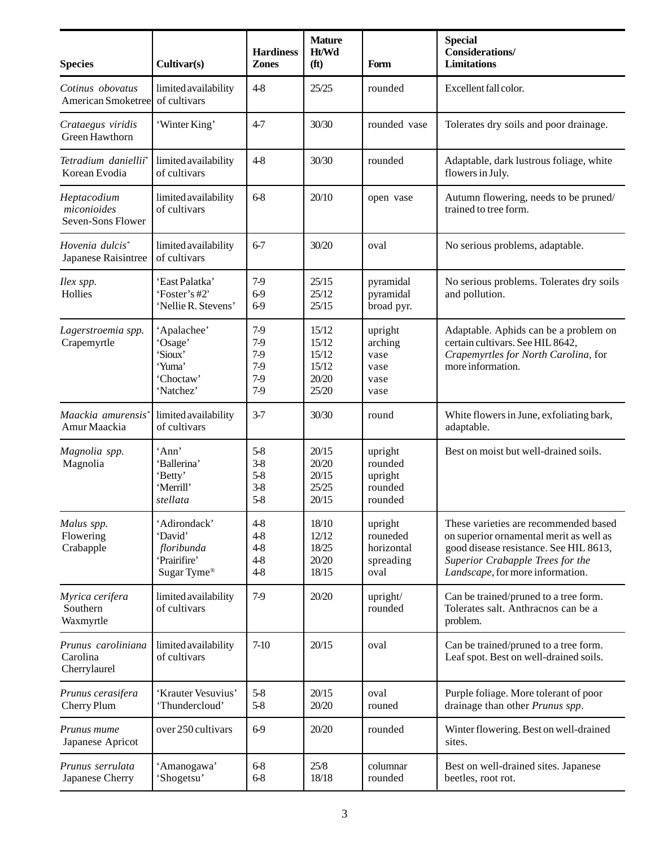| <b>Species</b>                                     | Cultivar(s)                                                           | <b>Hardiness</b><br><b>Zones</b>                    | <b>Mature</b><br>Ht/Wd<br>(f <sup>t</sup> )        | Form                                                   | <b>Special</b><br><b>Considerations/</b><br><b>Limitations</b>                                                                                                                                     |
|----------------------------------------------------|-----------------------------------------------------------------------|-----------------------------------------------------|----------------------------------------------------|--------------------------------------------------------|----------------------------------------------------------------------------------------------------------------------------------------------------------------------------------------------------|
| Cotinus obovatus<br>American Smoketree             | limited availability<br>of cultivars                                  | $4 - 8$                                             | 25/25                                              | rounded                                                | Excellent fall color.                                                                                                                                                                              |
| Crataegus viridis<br>Green Hawthorn                | 'Winter King'                                                         | $4 - 7$                                             | 30/30                                              | rounded vase                                           | Tolerates dry soils and poor drainage.                                                                                                                                                             |
| Tetradium daniellii*<br>Korean Evodia              | limited availability<br>of cultivars                                  | $4-8$                                               | 30/30                                              | rounded                                                | Adaptable, dark lustrous foliage, white<br>flowers in July.                                                                                                                                        |
| Heptacodium<br>miconioides<br>Seven-Sons Flower    | limited availability<br>of cultivars                                  | $6 - 8$                                             | 20/10                                              | open vase                                              | Autumn flowering, needs to be pruned/<br>trained to tree form.                                                                                                                                     |
| Hovenia dulcis <sup>*</sup><br>Japanese Raisintree | limited availability<br>of cultivars                                  | $6 - 7$                                             | 30/20                                              | oval                                                   | No serious problems, adaptable.                                                                                                                                                                    |
| Ilex spp.<br>Hollies                               | 'East Palatka'<br>'Foster's #2'<br>'Nellie R. Stevens'                | $7-9$<br>6-9<br>6-9                                 | 25/15<br>25/12<br>25/15                            | pyramidal<br>pyramidal<br>broad pyr.                   | No serious problems. Tolerates dry soils<br>and pollution.                                                                                                                                         |
| Lagerstroemia spp.<br>Crapemyrtle                  | 'Apalachee'<br>'Osage'<br>'Sioux'<br>'Yuma'<br>'Choctaw'<br>'Natchez' | $7-9$<br>7-9<br>7-9<br>$7-9$<br>$7-9$<br>$7-9$      | 15/12<br>15/12<br>15/12<br>15/12<br>20/20<br>25/20 | upright<br>arching<br>vase<br>vase<br>vase<br>vase     | Adaptable. Aphids can be a problem on<br>certain cultivars. See HIL 8642,<br>Crapemyrtles for North Carolina, for<br>more information.                                                             |
| Maackia amurensis'<br>Amur Maackia                 | limited availability<br>of cultivars                                  | $3 - 7$                                             | 30/30                                              | round                                                  | White flowers in June, exfoliating bark,<br>adaptable.                                                                                                                                             |
| Magnolia spp.<br>Magnolia                          | 'Ann'<br>'Ballerina'<br>'Betty'<br>'Merrill'<br>stellata              | $5 - 8$<br>$3 - 8$<br>$5 - 8$<br>$3 - 8$<br>$5 - 8$ | 20/15<br>20/20<br>20/15<br>25/25<br>20/15          | upright<br>rounded<br>upright<br>rounded<br>rounded    | Best on moist but well-drained soils.                                                                                                                                                              |
| Malus spp.<br>Flowering<br>Crabapple               | 'Adirondack'<br>'David'<br>floribunda<br>'Prairifire'<br>Sugar Tyme®  | $4 - 8$<br>$4 - 8$<br>$4 - 8$<br>$4 - 8$<br>$4 - 8$ | 18/10<br>12/12<br>18/25<br>20/20<br>18/15          | upright<br>rouneded<br>horizontal<br>spreading<br>oval | These varieties are recommended based<br>on superior ornamental merit as well as<br>good disease resistance. See HIL 8613,<br>Superior Crabapple Trees for the<br>Landscape, for more information. |
| Myrica cerifera<br>Southern<br>Waxmyrtle           | limited availability<br>of cultivars                                  | $7-9$                                               | 20/20                                              | upright/<br>rounded                                    | Can be trained/pruned to a tree form.<br>Tolerates salt. Anthracnos can be a<br>problem.                                                                                                           |
| Prunus caroliniana<br>Carolina<br>Cherrylaurel     | limited availability<br>of cultivars                                  | $7-10$                                              | 20/15                                              | oval                                                   | Can be trained/pruned to a tree form.<br>Leaf spot. Best on well-drained soils.                                                                                                                    |
| Prunus cerasifera<br>Cherry Plum                   | 'Krauter Vesuvius'<br>'Thundercloud'                                  | $5 - 8$<br>$5 - 8$                                  | 20/15<br>20/20                                     | oval<br>rouned                                         | Purple foliage. More tolerant of poor<br>drainage than other Prunus spp.                                                                                                                           |
| Prunus mume<br>Japanese Apricot                    | over 250 cultivars                                                    | 6-9                                                 | 20/20                                              | rounded                                                | Winter flowering. Best on well-drained<br>sites.                                                                                                                                                   |
| Prunus serrulata<br>Japanese Cherry                | 'Amanogawa'<br>'Shogetsu'                                             | $6 - 8$<br>$6 - 8$                                  | 25/8<br>18/18                                      | columnar<br>rounded                                    | Best on well-drained sites. Japanese<br>beetles, root rot.                                                                                                                                         |